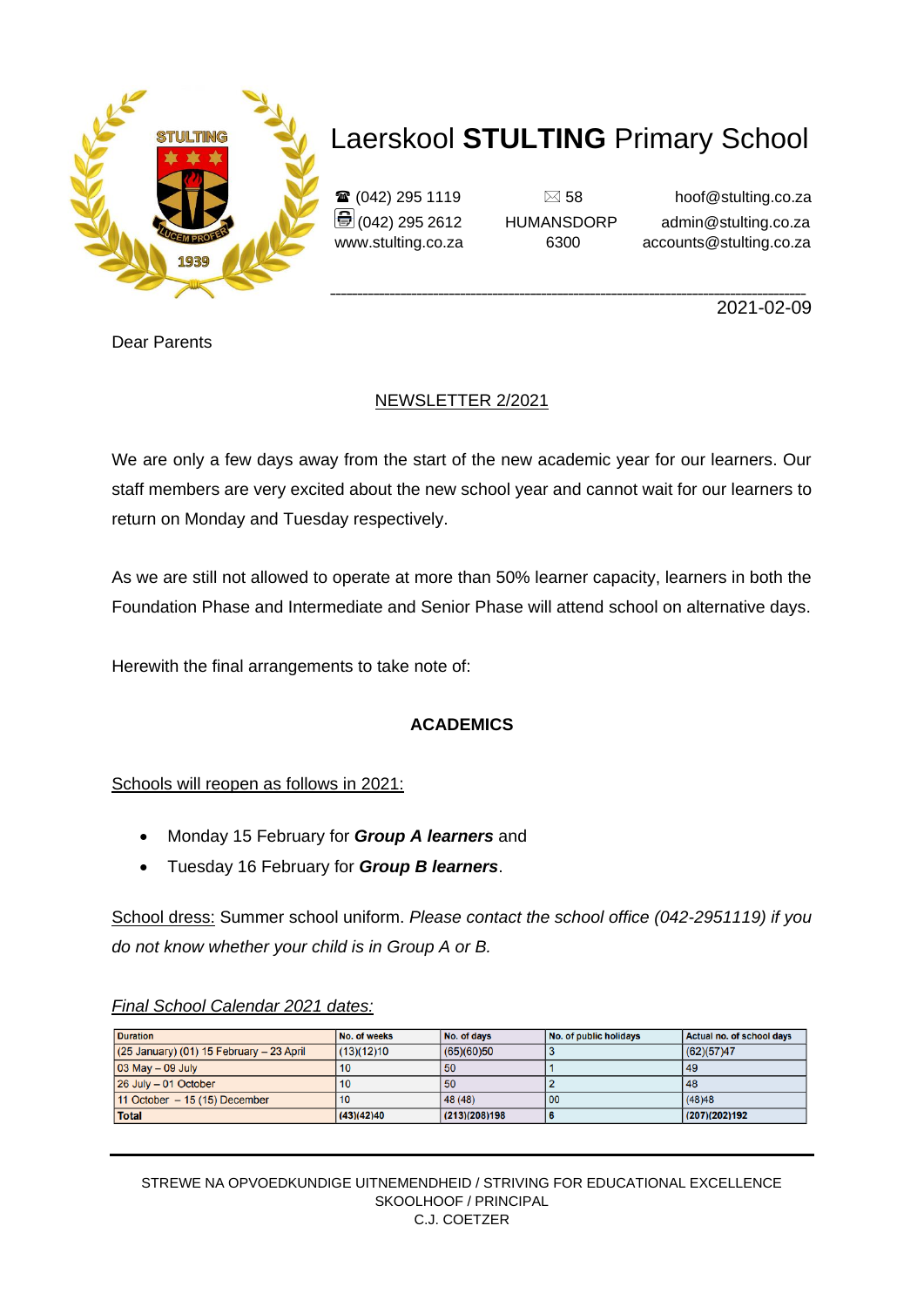

 $\mathbf{\hat{\mathbf{x}}}$  (042) 295 1119  $\Box$  58 hoof@stulting.co.za  $\bigcirc$  (042) 295 2612 HUMANSDORP admin@stulting.co.za www.stulting.co.za 6300 accounts@stulting.co.za

2021-02-09

Dear Parents

### NEWSLETTER 2/2021

We are only a few days away from the start of the new academic year for our learners. Our staff members are very excited about the new school year and cannot wait for our learners to return on Monday and Tuesday respectively.

As we are still not allowed to operate at more than 50% learner capacity, learners in both the Foundation Phase and Intermediate and Senior Phase will attend school on alternative days.

Herewith the final arrangements to take note of:

### **ACADEMICS**

Schools will reopen as follows in 2021:

- Monday 15 February for *Group A learners* and
- Tuesday 16 February for *Group B learners*.

School dress: Summer school uniform. *Please contact the school office (042-2951119) if you do not know whether your child is in Group A or B.*

#### *Final School Calendar 2021 dates:*

| <b>Duration</b>                              | No. of weeks | No. of days   | No. of public holidays | Actual no. of school days |
|----------------------------------------------|--------------|---------------|------------------------|---------------------------|
| $(25$ January) $(01)$ 15 February - 23 April | (13)(12)10   | (65)(60)50    |                        | (62)(57)47                |
| $ 03 \text{ May} - 09 \text{ July} $         | 10           | 50            |                        | 49                        |
| 26 July - 01 October                         | 10           | 50            |                        | 48                        |
| $11$ October $-15$ (15) December             | 10           | 48 (48)       | 00                     | (48)48                    |
| <b>Total</b>                                 | (43)(42)40   | (213)(208)198 |                        | (207)(202)192             |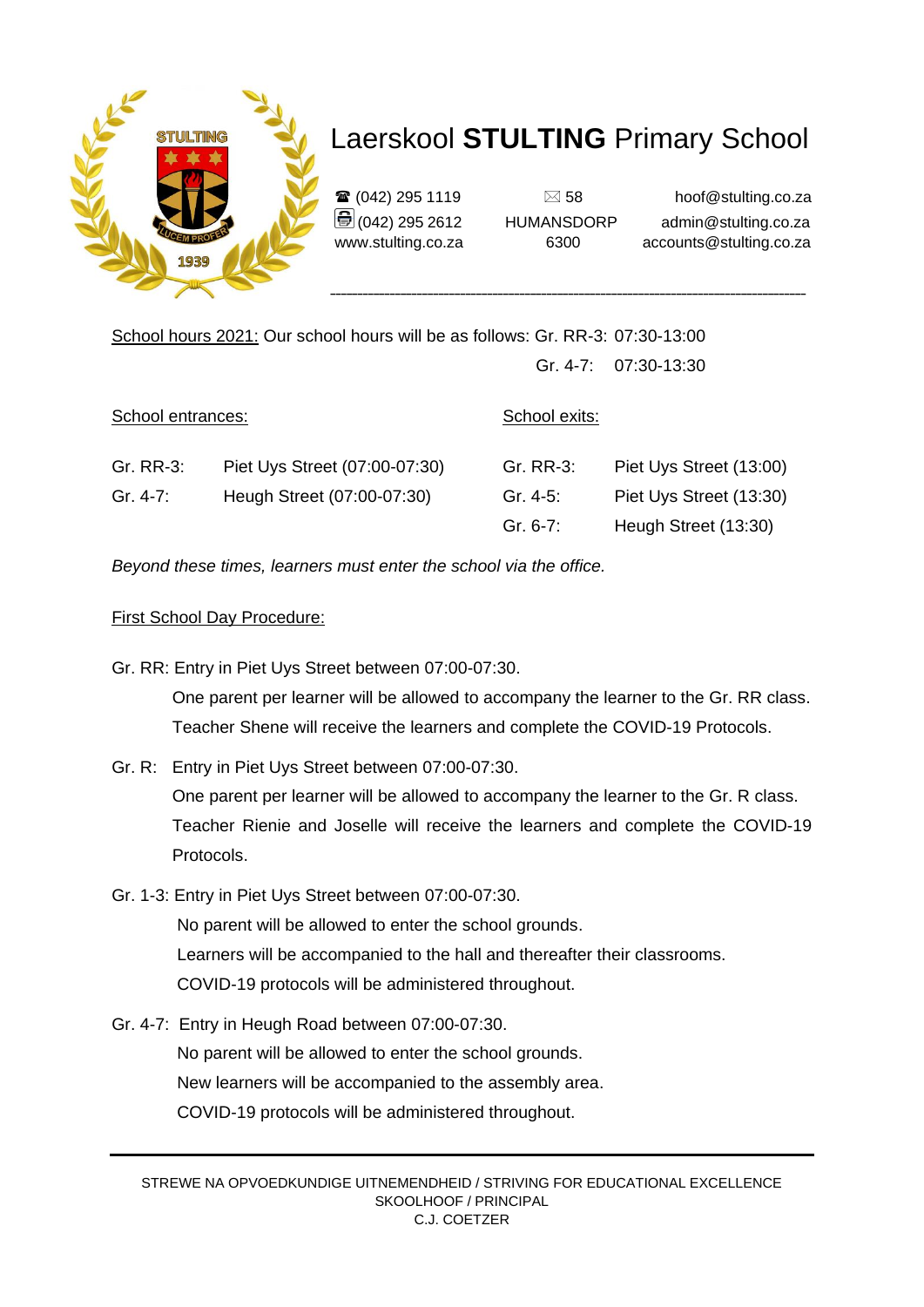

\_\_\_\_\_\_\_\_\_\_\_\_\_\_\_\_\_\_\_\_\_\_\_\_\_\_\_\_\_\_\_\_\_\_\_\_\_\_\_\_\_\_\_\_\_\_\_\_\_\_\_\_\_\_\_\_\_\_\_\_\_\_\_\_\_\_\_\_\_\_\_\_\_\_\_\_\_\_\_\_\_\_\_\_\_\_\_\_

 $\mathbf{\hat{\mathbf{x}}}$  (042) 295 1119  $\Box$  58 hoof@stulting.co.za  $\bigcirc$  (042) 295 2612 HUMANSDORP admin@stulting.co.za www.stulting.co.za 6300 accounts@stulting.co.za

School hours 2021: Our school hours will be as follows: Gr. RR-3: 07:30-13:00 Gr. 4-7: 07:30-13:30

| School entrances: |                               | School exits: |                         |  |
|-------------------|-------------------------------|---------------|-------------------------|--|
| Gr. RR-3:         | Piet Uys Street (07:00-07:30) | Gr. RR-3:     | Piet Uys Street (13:00) |  |
| Gr. 4-7:          | Heugh Street (07:00-07:30)    | Gr. 4-5:      | Piet Uys Street (13:30) |  |
|                   |                               | $Gr. 6-7:$    | Heugh Street (13:30)    |  |

*Beyond these times, learners must enter the school via the office.* 

#### First School Day Procedure:

Gr. RR: Entry in Piet Uys Street between 07:00-07:30.

 One parent per learner will be allowed to accompany the learner to the Gr. RR class. Teacher Shene will receive the learners and complete the COVID-19 Protocols.

Gr. R: Entry in Piet Uys Street between 07:00-07:30.

 One parent per learner will be allowed to accompany the learner to the Gr. R class. Teacher Rienie and Joselle will receive the learners and complete the COVID-19 Protocols.

- Gr. 1-3: Entry in Piet Uys Street between 07:00-07:30. No parent will be allowed to enter the school grounds. Learners will be accompanied to the hall and thereafter their classrooms. COVID-19 protocols will be administered throughout.
- Gr. 4-7: Entry in Heugh Road between 07:00-07:30. No parent will be allowed to enter the school grounds. New learners will be accompanied to the assembly area. COVID-19 protocols will be administered throughout.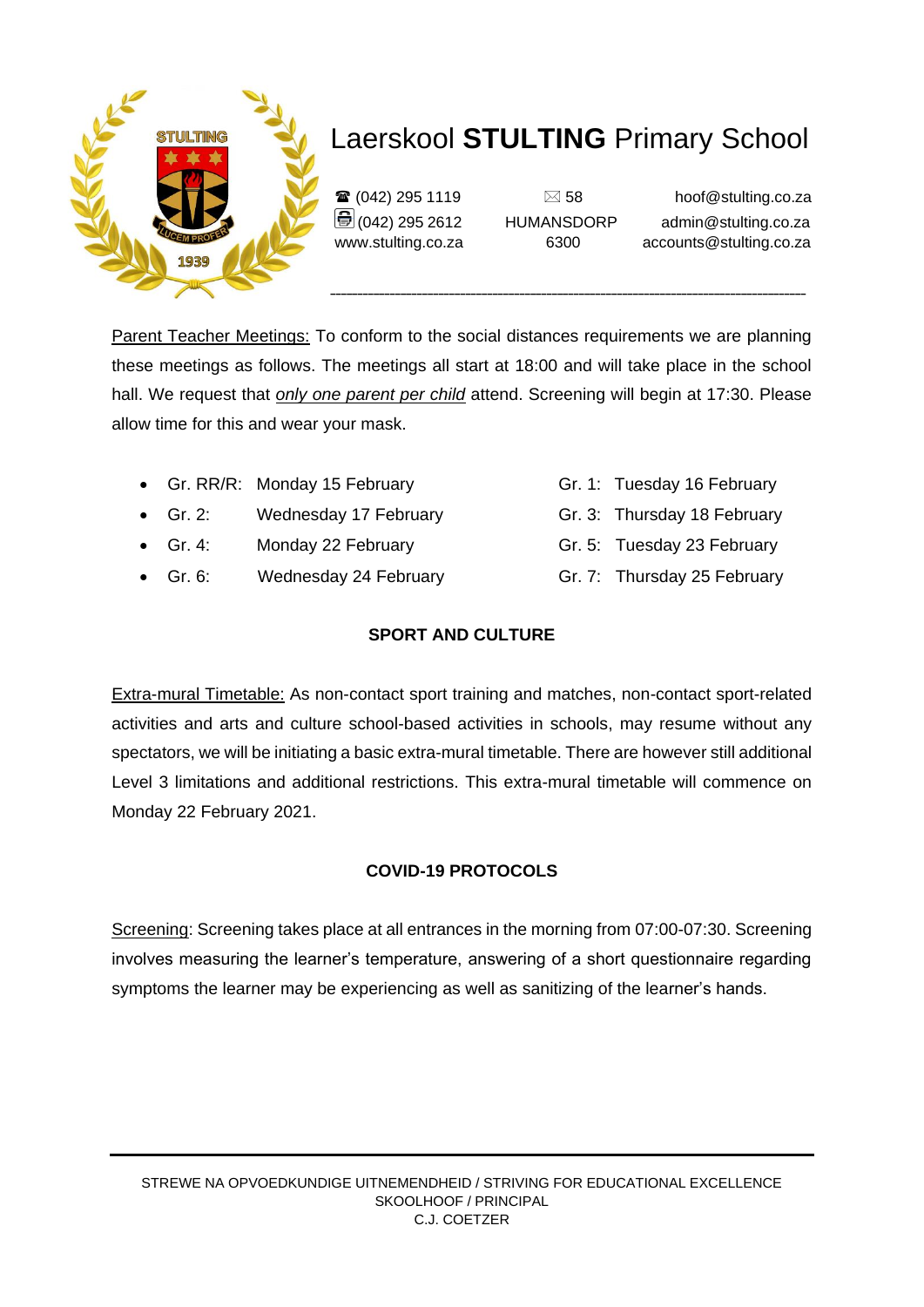

 $\mathbf{\widehat{a}}$  (042) 295 1119  $\Box$  58 hoof@stulting.co.za  $\bigcirc$  (042) 295 2612 HUMANSDORP admin@stulting.co.za www.stulting.co.za 6300 accounts@stulting.co.za

Parent Teacher Meetings: To conform to the social distances requirements we are planning these meetings as follows. The meetings all start at 18:00 and will take place in the school hall. We request that *only one parent per child* attend. Screening will begin at 17:30. Please allow time for this and wear your mask.

- Gr. RR/R: Monday 15 February Gr. 1: Tuesday 16 February
- Gr. 2: Wednesday 17 February Gr. 3: Thursday 18 February
- Gr. 4: Monday 22 February Gr. 5: Tuesday 23 February
- Gr. 6: Wednesday 24 February Gr. 7: Thursday 25 February
	- **SPORT AND CULTURE**

Extra-mural Timetable: As non-contact sport training and matches, non-contact sport-related activities and arts and culture school-based activities in schools, may resume without any spectators, we will be initiating a basic extra-mural timetable. There are however still additional Level 3 limitations and additional restrictions. This extra-mural timetable will commence on Monday 22 February 2021.

### **COVID-19 PROTOCOLS**

Screening: Screening takes place at all entrances in the morning from 07:00-07:30. Screening involves measuring the learner's temperature, answering of a short questionnaire regarding symptoms the learner may be experiencing as well as sanitizing of the learner's hands.

- 
- 
- 
-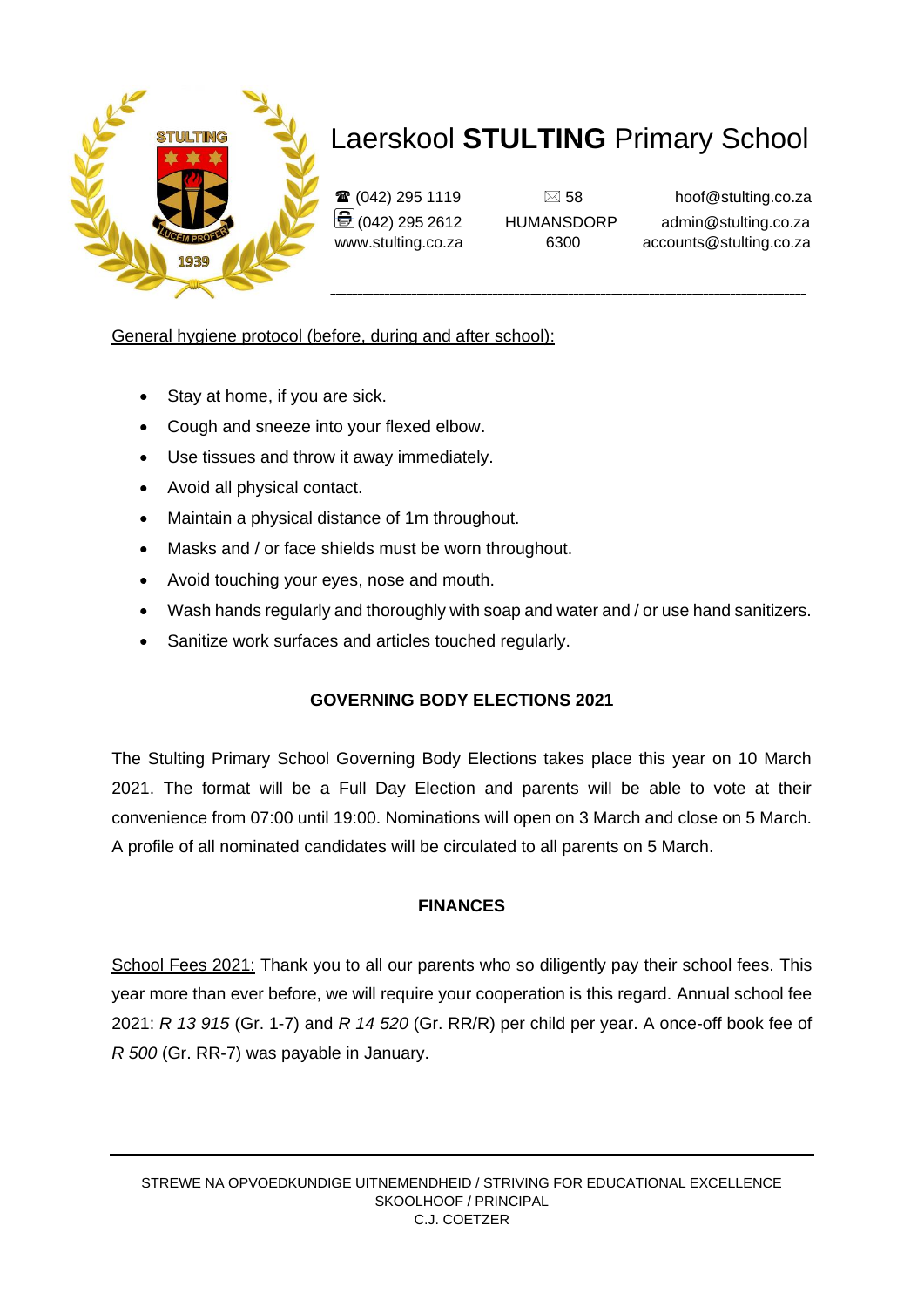

 $\mathbf{\widehat{a}}$  (042) 295 1119  $\Box$  58 hoof@stulting.co.za  $\bigcirc$  (042) 295 2612 HUMANSDORP admin@stulting.co.za www.stulting.co.za 6300 accounts@stulting.co.za

General hygiene protocol (before, during and after school):

- Stay at home, if you are sick.
- Cough and sneeze into your flexed elbow.
- Use tissues and throw it away immediately.
- Avoid all physical contact.
- Maintain a physical distance of 1m throughout.
- Masks and / or face shields must be worn throughout.
- Avoid touching your eyes, nose and mouth.
- Wash hands regularly and thoroughly with soap and water and / or use hand sanitizers.
- Sanitize work surfaces and articles touched regularly.

### **GOVERNING BODY ELECTIONS 2021**

The Stulting Primary School Governing Body Elections takes place this year on 10 March 2021. The format will be a Full Day Election and parents will be able to vote at their convenience from 07:00 until 19:00. Nominations will open on 3 March and close on 5 March. A profile of all nominated candidates will be circulated to all parents on 5 March.

#### **FINANCES**

School Fees 2021: Thank you to all our parents who so diligently pay their school fees. This year more than ever before, we will require your cooperation is this regard. Annual school fee 2021: *R 13 915* (Gr. 1-7) and *R 14 520* (Gr. RR/R) per child per year. A once-off book fee of *R 500* (Gr. RR-7) was payable in January.